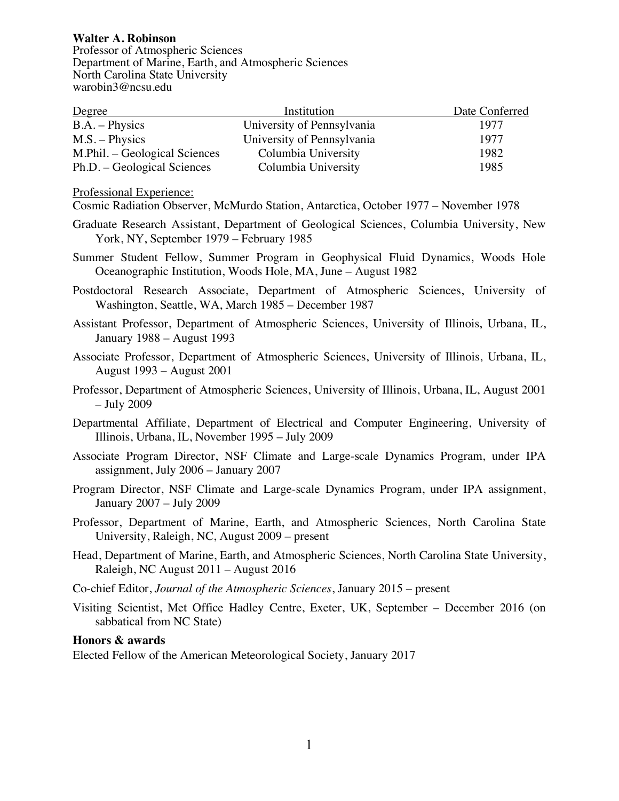**Walter A. Robinson** Professor of Atmospheric Sciences Department of Marine, Earth, and Atmospheric Sciences North Carolina State University warobin3@ncsu.edu

| Degree                        | Institution                | Date Conferred |
|-------------------------------|----------------------------|----------------|
| $B.A. - Physics$              | University of Pennsylvania | 1977           |
| $M.S. - Physics$              | University of Pennsylvania | 1977           |
| M.Phil. – Geological Sciences | Columbia University        | 1982           |
| Ph.D. – Geological Sciences   | Columbia University        | 1985           |

Professional Experience:

Cosmic Radiation Observer, McMurdo Station, Antarctica, October 1977 – November 1978

- Graduate Research Assistant, Department of Geological Sciences, Columbia University, New York, NY, September 1979 – February 1985
- Summer Student Fellow, Summer Program in Geophysical Fluid Dynamics, Woods Hole Oceanographic Institution, Woods Hole, MA, June – August 1982
- Postdoctoral Research Associate, Department of Atmospheric Sciences, University of Washington, Seattle, WA, March 1985 – December 1987
- Assistant Professor, Department of Atmospheric Sciences, University of Illinois, Urbana, IL, January 1988 – August 1993
- Associate Professor, Department of Atmospheric Sciences, University of Illinois, Urbana, IL, August 1993 – August 2001
- Professor, Department of Atmospheric Sciences, University of Illinois, Urbana, IL, August 2001 – July 2009
- Departmental Affiliate, Department of Electrical and Computer Engineering, University of Illinois, Urbana, IL, November 1995 – July 2009
- Associate Program Director, NSF Climate and Large-scale Dynamics Program, under IPA assignment, July 2006 – January 2007
- Program Director, NSF Climate and Large-scale Dynamics Program, under IPA assignment, January 2007 – July 2009
- Professor, Department of Marine, Earth, and Atmospheric Sciences, North Carolina State University, Raleigh, NC, August 2009 – present
- Head, Department of Marine, Earth, and Atmospheric Sciences, North Carolina State University, Raleigh, NC August 2011 – August 2016
- Co-chief Editor, *Journal of the Atmospheric Sciences*, January 2015 present
- Visiting Scientist, Met Office Hadley Centre, Exeter, UK, September December 2016 (on sabbatical from NC State)

**Honors & awards**

Elected Fellow of the American Meteorological Society, January 2017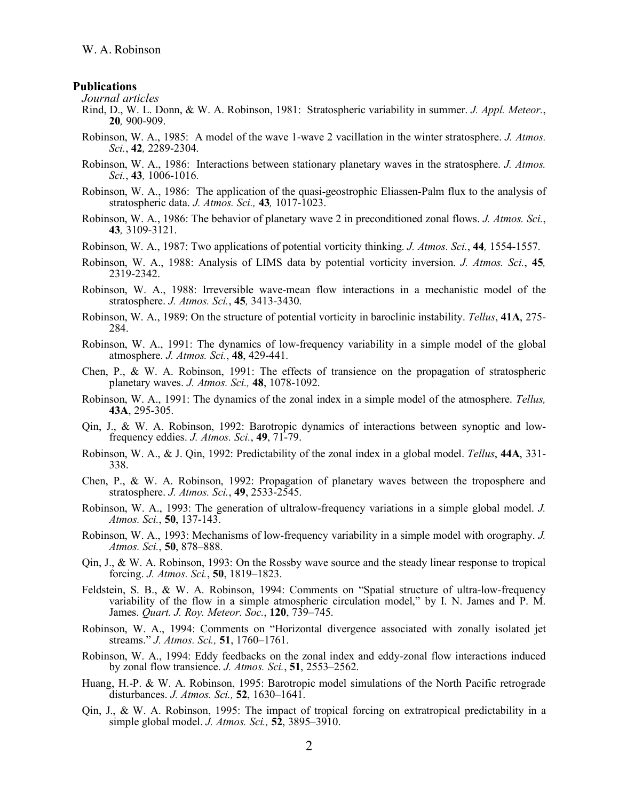#### **Publications**

*Journal articles*

- Rind, D., W. L. Donn, & W. A. Robinson, 1981: Stratospheric variability in summer. *J. Appl. Meteor.*, **<sup>20</sup>***,* 900-909.
- Robinson, W. A., 1985: A model of the wave 1-wave 2 vacillation in the winter stratosphere. *J. Atmos. Sci.*, **42***,* 2289-2304.
- Robinson, W. A., 1986: Interactions between stationary planetary waves in the stratosphere. *J. Atmos. Sci.*, **43***,* 1006-1016.
- Robinson, W. A., 1986: The application of the quasi-geostrophic Eliassen-Palm flux to the analysis of stratospheric data. *J. Atmos. Sci.,* **43***,* 1017-1023.
- Robinson, W. A., 1986: The behavior of planetary wave 2 in preconditioned zonal flows. *J. Atmos. Sci.*, **<sup>43</sup>***,* 3109-3121.
- Robinson, W. A., 1987: Two applications of potential vorticity thinking. *J. Atmos. Sci.*, **44***,* 1554-1557.
- Robinson, W. A., 1988: Analysis of LIMS data by potential vorticity inversion. *J. Atmos. Sci.*, **45***,* 2319-2342.
- Robinson, W. A., 1988: Irreversible wave-mean flow interactions in a mechanistic model of the stratosphere. *J. Atmos. Sci.*, **45***,* 3413-3430.
- Robinson, W. A., 1989: On the structure of potential vorticity in baroclinic instability. *Tellus*, **41A**, 275- 284.
- Robinson, W. A., 1991: The dynamics of low-frequency variability in a simple model of the global atmosphere. *J. Atmos. Sci.*, **48**, 429-441.
- Chen, P., & W. A. Robinson, 1991: The effects of transience on the propagation of stratospheric planetary waves. *J. Atmos. Sci.,* **48**, 1078-1092.
- Robinson, W. A., 1991: The dynamics of the zonal index in a simple model of the atmosphere. *Tellus,* **43A**, 295-305.
- Qin, J., & W. A. Robinson, 1992: Barotropic dynamics of interactions between synoptic and low- frequency eddies. *J. Atmos. Sci.*, **49**, 71-79.
- Robinson, W. A., & J. Qin, 1992: Predictability of the zonal index in a global model. *Tellus*, **44A**, 331- 338.
- Chen, P., & W. A. Robinson, 1992: Propagation of planetary waves between the troposphere and stratosphere. *J. Atmos. Sci.*, **49**, 2533-2545.
- Robinson, W. A., 1993: The generation of ultralow-frequency variations in a simple global model. *J. Atmos. Sci.*, **50**, 137-143.
- Robinson, W. A., 1993: Mechanisms of low-frequency variability in a simple model with orography. *J. Atmos. Sci.*, **50**, 878–888.
- Qin, J., & W. A. Robinson, 1993: On the Rossby wave source and the steady linear response to tropical forcing. *J. Atmos. Sci.*, **50**, 1819–1823.
- Feldstein, S. B., & W. A. Robinson, 1994: Comments on "Spatial structure of ultra-low-frequency variability of the flow in a simple atmospheric circulation model," by I. N. James and P. M. James. *Quart. J. Roy. Meteor. Soc.*, **120**, 739–745.
- Robinson, W. A., 1994: Comments on "Horizontal divergence associated with zonally isolated jet streams." *J. Atmos. Sci.,* **51**, 1760–1761.
- Robinson, W. A., 1994: Eddy feedbacks on the zonal index and eddy-zonal flow interactions induced by zonal flow transience. *J. Atmos. Sci.*, **51**, 2553–2562.
- Huang, H.-P. & W. A. Robinson, 1995: Barotropic model simulations of the North Pacific retrograde disturbances. *J. Atmos. Sci.,* **52**, 1630–1641.
- Qin, J., & W. A. Robinson, 1995: The impact of tropical forcing on extratropical predictability in a simple global model. *J. Atmos. Sci.,* **52**, 3895–3910.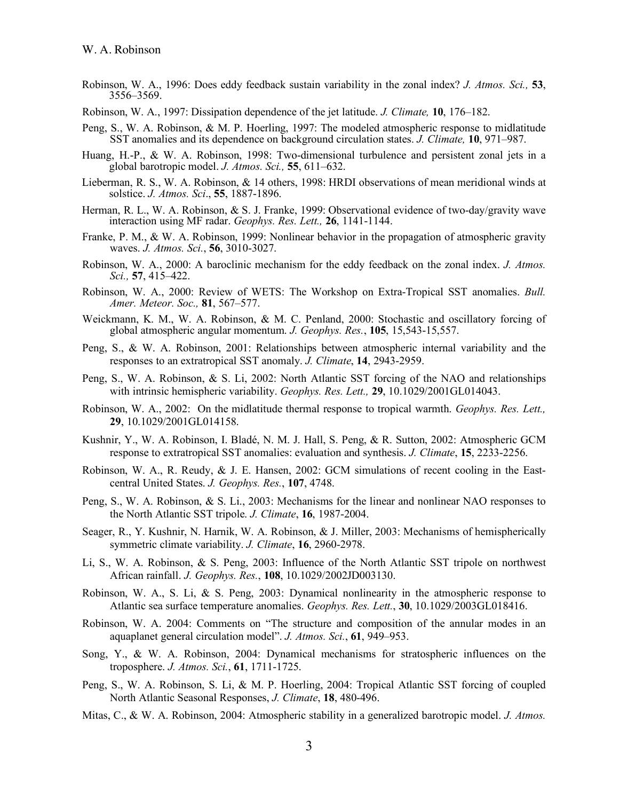- Robinson, W. A., 1996: Does eddy feedback sustain variability in the zonal index? *J. Atmos. Sci.,* **53**, 3556–3569.
- Robinson, W. A., 1997: Dissipation dependence of the jet latitude. *J. Climate,* **10**, 176–182.
- Peng, S., W. A. Robinson, & M. P. Hoerling, 1997: The modeled atmospheric response to midlatitude SST anomalies and its dependence on background circulation states. *J. Climate,* **10**, 971–987.
- Huang, H.-P., & W. A. Robinson, 1998: Two-dimensional turbulence and persistent zonal jets in a global barotropic model. *J. Atmos. Sci.,* **55**, 611–632.
- Lieberman, R. S., W. A. Robinson, & 14 others, 1998: HRDI observations of mean meridional winds at solstice. *J. Atmos. Sci*., **55**, 1887-1896.
- Herman, R. L., W. A. Robinson, & S. J. Franke, 1999: Observational evidence of two-day/gravity wave interaction using MF radar. *Geophys. Res. Lett.,* **26**, 1141-1144.
- Franke, P. M., & W. A. Robinson, 1999: Nonlinear behavior in the propagation of atmospheric gravity waves. *J. Atmos. Sci.*, **56**, 3010-3027.
- Robinson, W. A., 2000: A baroclinic mechanism for the eddy feedback on the zonal index. *J. Atmos. Sci.,* **57**, 415–422.
- Robinson, W. A., 2000: Review of WETS: The Workshop on Extra-Tropical SST anomalies. *Bull. Amer. Meteor. Soc.,* **81**, 567–577.
- Weickmann, K. M., W. A. Robinson, & M. C. Penland, 2000: Stochastic and oscillatory forcing of global atmospheric angular momentum. *J. Geophys. Res.*, **105**, 15,543-15,557.
- Peng, S., & W. A. Robinson, 2001: Relationships between atmospheric internal variability and the responses to an extratropical SST anomaly. *J. Climate*, **14**, 2943-2959.
- Peng, S., W. A. Robinson, & S. Li, 2002: North Atlantic SST forcing of the NAO and relationships with intrinsic hemispheric variability. *Geophys. Res. Lett.,* **29**, 10.1029/2001GL014043.
- Robinson, W. A., 2002: On the midlatitude thermal response to tropical warmth. *Geophys. Res. Lett.,* **29**, 10.1029/2001GL014158.
- Kushnir, Y., W. A. Robinson, I. Bladé, N. M. J. Hall, S. Peng, & R. Sutton, 2002: Atmospheric GCM response to extratropical SST anomalies: evaluation and synthesis. *J. Climate*, **15**, 2233-2256.
- Robinson, W. A., R. Reudy, & J. E. Hansen, 2002: GCM simulations of recent cooling in the Eastcentral United States. *J. Geophys. Res.*, **107**, 4748.
- Peng, S., W. A. Robinson, & S. Li., 2003: Mechanisms for the linear and nonlinear NAO responses to the North Atlantic SST tripole. *J. Climate*, **16**, 1987-2004.
- Seager, R., Y. Kushnir, N. Harnik, W. A. Robinson, & J. Miller, 2003: Mechanisms of hemispherically symmetric climate variability. *J. Climate*, **16**, 2960-2978.
- Li, S., W. A. Robinson, & S. Peng, 2003: Influence of the North Atlantic SST tripole on northwest African rainfall. *J. Geophys. Res.*, **108**, 10.1029/2002JD003130.
- Robinson, W. A., S. Li, & S. Peng, 2003: Dynamical nonlinearity in the atmospheric response to Atlantic sea surface temperature anomalies. *Geophys. Res. Lett.*, **30**, 10.1029/2003GL018416.
- Robinson, W. A. 2004: Comments on "The structure and composition of the annular modes in an aquaplanet general circulation model". *J. Atmos. Sci.*, **61**, 949–953.
- Song, Y., & W. A. Robinson, 2004: Dynamical mechanisms for stratospheric influences on the troposphere. *J. Atmos. Sci.*, **61**, 1711-1725.
- Peng, S., W. A. Robinson, S. Li, & M. P. Hoerling, 2004: Tropical Atlantic SST forcing of coupled North Atlantic Seasonal Responses, *J. Climate*, **18**, 480-496.
- Mitas, C., & W. A. Robinson, 2004: Atmospheric stability in a generalized barotropic model. *J. Atmos.*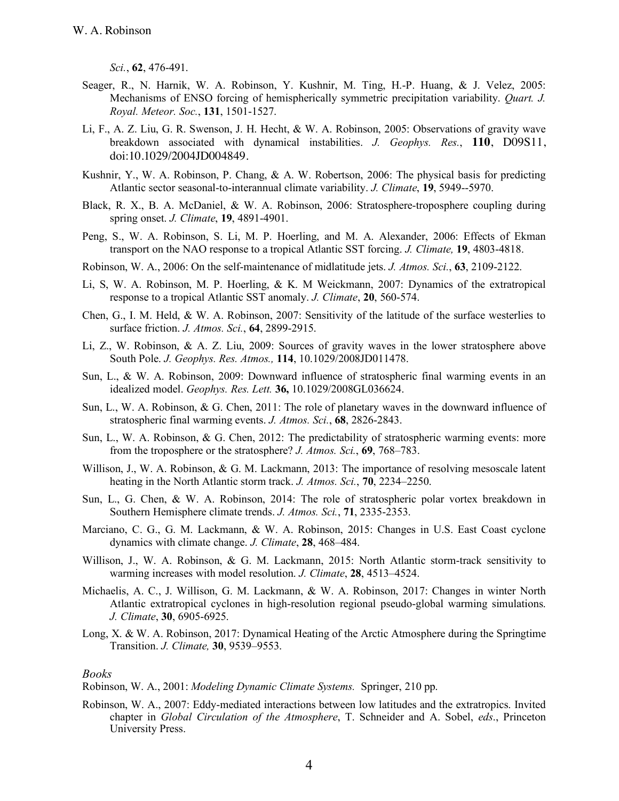*Sci.*, **62**, 476-491.

- Seager, R., N. Harnik, W. A. Robinson, Y. Kushnir, M. Ting, H.-P. Huang, & J. Velez, 2005: Mechanisms of ENSO forcing of hemispherically symmetric precipitation variability. *Quart. J. Royal. Meteor. Soc.*, **131**, 1501-1527.
- Li, F., A. Z. Liu, G. R. Swenson, J. H. Hecht, & W. A. Robinson, 2005: Observations of gravity wave breakdown associated with dynamical instabilities. *J. Geophys. Res.*, **110**, D09S11, doi:10.1029/2004JD004849.
- Kushnir, Y., W. A. Robinson, P. Chang, & A. W. Robertson, 2006: The physical basis for predicting Atlantic sector seasonal-to-interannual climate variability. *J. Climate*, **19**, 5949--5970.
- Black, R. X., B. A. McDaniel, & W. A. Robinson, 2006: Stratosphere-troposphere coupling during spring onset. *J. Climate*, **19**, 4891-4901.
- Peng, S., W. A. Robinson, S. Li, M. P. Hoerling, and M. A. Alexander, 2006: Effects of Ekman transport on the NAO response to a tropical Atlantic SST forcing. *J. Climate,* **19**, 4803-4818.
- Robinson, W. A., 2006: On the self-maintenance of midlatitude jets. *J. Atmos. Sci.*, **63**, 2109-2122.
- Li, S, W. A. Robinson, M. P. Hoerling, & K. M Weickmann, 2007: Dynamics of the extratropical response to a tropical Atlantic SST anomaly. *J. Climate*, **20**, 560-574.
- Chen, G., I. M. Held, & W. A. Robinson, 2007: Sensitivity of the latitude of the surface westerlies to surface friction. *J. Atmos. Sci.*, **64**, 2899-2915.
- Li, Z., W. Robinson, & A. Z. Liu, 2009: Sources of gravity waves in the lower stratosphere above South Pole. *J. Geophys. Res. Atmos.,* **114**, 10.1029/2008JD011478.
- Sun, L., & W. A. Robinson, 2009: Downward influence of stratospheric final warming events in an idealized model. *Geophys. Res. Lett.* **36,** 10.1029/2008GL036624.
- Sun, L., W. A. Robinson, & G. Chen, 2011: The role of planetary waves in the downward influence of stratospheric final warming events. *J. Atmos. Sci.*, **68**, 2826-2843.
- Sun, L., W. A. Robinson, & G. Chen, 2012: The predictability of stratospheric warming events: more from the troposphere or the stratosphere? *J. Atmos. Sci.*, **69**, 768–783.
- Willison, J., W. A. Robinson, & G. M. Lackmann, 2013: The importance of resolving mesoscale latent heating in the North Atlantic storm track. *J. Atmos. Sci.*, **70**, 2234–2250.
- Sun, L., G. Chen, & W. A. Robinson, 2014: The role of stratospheric polar vortex breakdown in Southern Hemisphere climate trends. *J. Atmos. Sci.*, **71**, 2335-2353.
- Marciano, C. G., G. M. Lackmann, & W. A. Robinson, 2015: Changes in U.S. East Coast cyclone dynamics with climate change. *J. Climate*, **28**, 468–484.
- Willison, J., W. A. Robinson, & G. M. Lackmann, 2015: North Atlantic storm-track sensitivity to warming increases with model resolution. *J. Climate*, **28**, 4513–4524.
- Michaelis, A. C., J. Willison, G. M. Lackmann, & W. A. Robinson, 2017: Changes in winter North Atlantic extratropical cyclones in high-resolution regional pseudo-global warming simulations. *J. Climate*, **30**, 6905-6925.
- Long, X. & W. A. Robinson, 2017: Dynamical Heating of the Arctic Atmosphere during the Springtime Transition. *J. Climate,* **30**, 9539–9553.

#### *Books*

Robinson, W. A., 2001: *Modeling Dynamic Climate Systems.* Springer, 210 pp.

Robinson, W. A., 2007: Eddy-mediated interactions between low latitudes and the extratropics. Invited chapter in *Global Circulation of the Atmosphere*, T. Schneider and A. Sobel, *eds*., Princeton University Press.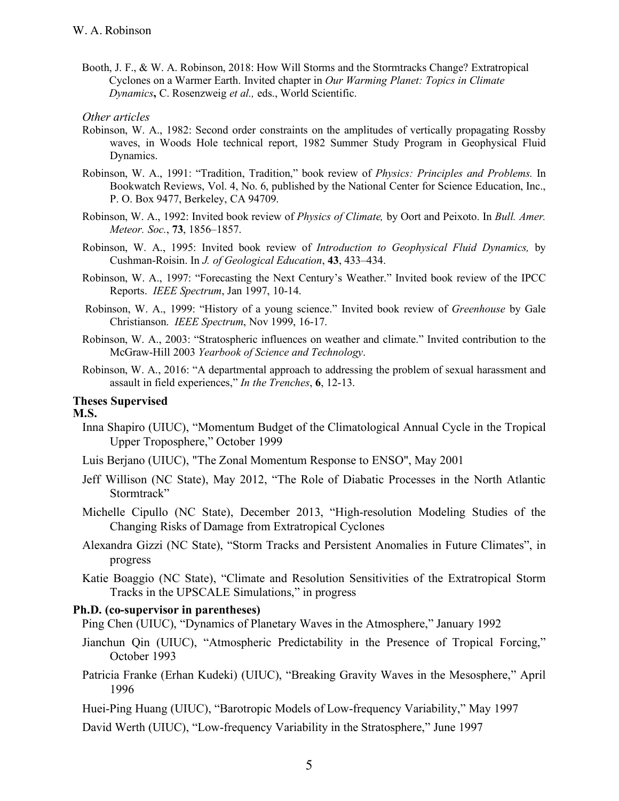Booth, J. F., & W. A. Robinson, 2018: How Will Storms and the Stormtracks Change? Extratropical Cyclones on a Warmer Earth. Invited chapter in *Our Warming Planet: Topics in Climate Dynamics***,** C. Rosenzweig *et al.,* eds., World Scientific.

### *Other articles*

- Robinson, W. A., 1982: Second order constraints on the amplitudes of vertically propagating Rossby waves, in Woods Hole technical report, 1982 Summer Study Program in Geophysical Fluid Dynamics.
- Robinson, W. A., 1991: "Tradition, Tradition," book review of *Physics: Principles and Problems.* In Bookwatch Reviews, Vol. 4, No. 6, published by the National Center for Science Education, Inc., P. O. Box 9477, Berkeley, CA 94709.
- Robinson, W. A., 1992: Invited book review of *Physics of Climate,* by Oort and Peixoto. In *Bull. Amer. Meteor. Soc.*, **73**, 1856–1857.
- Robinson, W. A., 1995: Invited book review of *Introduction to Geophysical Fluid Dynamics,* by Cushman-Roisin. In *J. of Geological Education*, **43**, 433–434.
- Robinson, W. A., 1997: "Forecasting the Next Century's Weather." Invited book review of the IPCC Reports. *IEEE Spectrum*, Jan 1997, 10-14.
- Robinson, W. A., 1999: "History of a young science." Invited book review of *Greenhouse* by Gale Christianson. *IEEE Spectrum*, Nov 1999, 16-17.
- Robinson, W. A., 2003: "Stratospheric influences on weather and climate." Invited contribution to the McGraw-Hill 2003 *Yearbook of Science and Technology*.
- Robinson, W. A., 2016: "A departmental approach to addressing the problem of sexual harassment and assault in field experiences," *In the Trenches*, **6**, 12-13.

# **Theses Supervised**

## **M.S.**

- Inna Shapiro (UIUC), "Momentum Budget of the Climatological Annual Cycle in the Tropical Upper Troposphere," October 1999
- Luis Berjano (UIUC), "The Zonal Momentum Response to ENSO", May 2001
- Jeff Willison (NC State), May 2012, "The Role of Diabatic Processes in the North Atlantic Stormtrack"
- Michelle Cipullo (NC State), December 2013, "High-resolution Modeling Studies of the Changing Risks of Damage from Extratropical Cyclones
- Alexandra Gizzi (NC State), "Storm Tracks and Persistent Anomalies in Future Climates", in progress
- Katie Boaggio (NC State), "Climate and Resolution Sensitivities of the Extratropical Storm Tracks in the UPSCALE Simulations," in progress

## **Ph.D. (co-supervisor in parentheses)**

Ping Chen (UIUC), "Dynamics of Planetary Waves in the Atmosphere," January 1992

- Jianchun Qin (UIUC), "Atmospheric Predictability in the Presence of Tropical Forcing," October 1993
- Patricia Franke (Erhan Kudeki) (UIUC), "Breaking Gravity Waves in the Mesosphere," April 1996
- Huei-Ping Huang (UIUC), "Barotropic Models of Low-frequency Variability," May 1997

David Werth (UIUC), "Low-frequency Variability in the Stratosphere," June 1997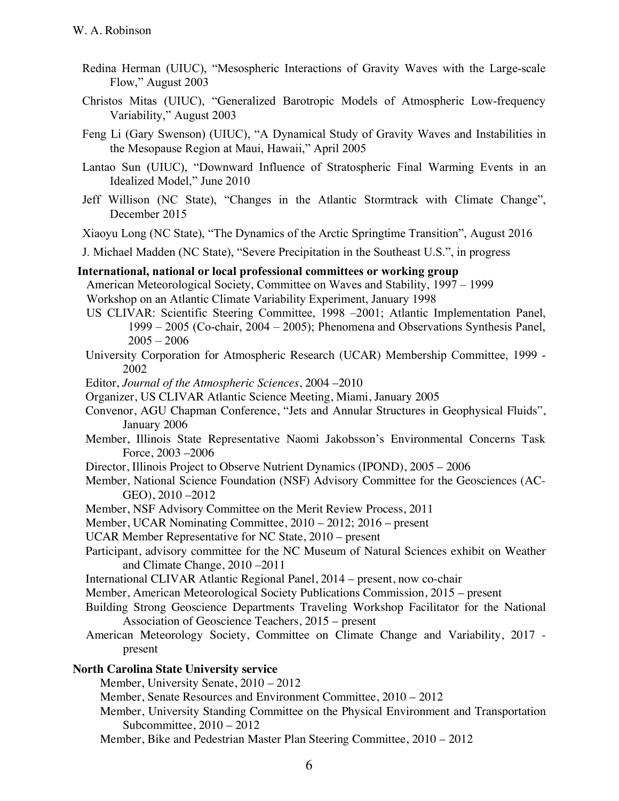- Redina Herman (UIUC), "Mesospheric Interactions of Gravity Waves with the Large-scale Flow," August 2003
- Christos Mitas (UIUC), "Generalized Barotropic Models of Atmospheric Low-frequency Variability," August 2003
- Feng Li (Gary Swenson) (UIUC), "A Dynamical Study of Gravity Waves and Instabilities in the Mesopause Region at Maui, Hawaii," April 2005
- Lantao Sun (UIUC), "Downward Influence of Stratospheric Final Warming Events in an Idealized Model," June 2010
- Jeff Willison (NC State), "Changes in the Atlantic Stormtrack with Climate Change", December 2015
- Xiaoyu Long (NC State), "The Dynamics of the Arctic Springtime Transition", August 2016
- J. Michael Madden (NC State), "Severe Precipitation in the Southeast U.S.", in progress

### **International, national or local professional committees or working group**

American Meteorological Society, Committee on Waves and Stability, 1997 – 1999 Workshop on an Atlantic Climate Variability Experiment, January 1998

- US CLIVAR: Scientific Steering Committee, 1998 –2001; Atlantic Implementation Panel, 1999 – 2005 (Co-chair, 2004 – 2005); Phenomena and Observations Synthesis Panel,  $2005 - 2006$
- University Corporation for Atmospheric Research (UCAR) Membership Committee, 1999 2002
- Editor, *Journal of the Atmospheric Sciences*, 2004 –2010
- Organizer, US CLIVAR Atlantic Science Meeting, Miami, January 2005
- Convenor, AGU Chapman Conference, "Jets and Annular Structures in Geophysical Fluids", January 2006
- Member, Illinois State Representative Naomi Jakobsson's Environmental Concerns Task Force, 2003 –2006
- Director, Illinois Project to Observe Nutrient Dynamics (IPOND), 2005 2006
- Member, National Science Foundation (NSF) Advisory Committee for the Geosciences (AC-GEO), 2010 –2012
- Member, NSF Advisory Committee on the Merit Review Process, 2011
- Member, UCAR Nominating Committee, 2010 2012; 2016 present
- UCAR Member Representative for NC State, 2010 present
- Participant, advisory committee for the NC Museum of Natural Sciences exhibit on Weather and Climate Change, 2010 –2011
- International CLIVAR Atlantic Regional Panel, 2014 present, now co-chair
- Member, American Meteorological Society Publications Commission, 2015 present
- Building Strong Geoscience Departments Traveling Workshop Facilitator for the National Association of Geoscience Teachers, 2015 – present
- American Meteorology Society, Committee on Climate Change and Variability, 2017 present

### **North Carolina State University service**

Member, University Senate, 2010 – 2012

- Member, Senate Resources and Environment Committee, 2010 2012
- Member, University Standing Committee on the Physical Environment and Transportation Subcommittee,  $2010 - 2012$
- Member, Bike and Pedestrian Master Plan Steering Committee, 2010 2012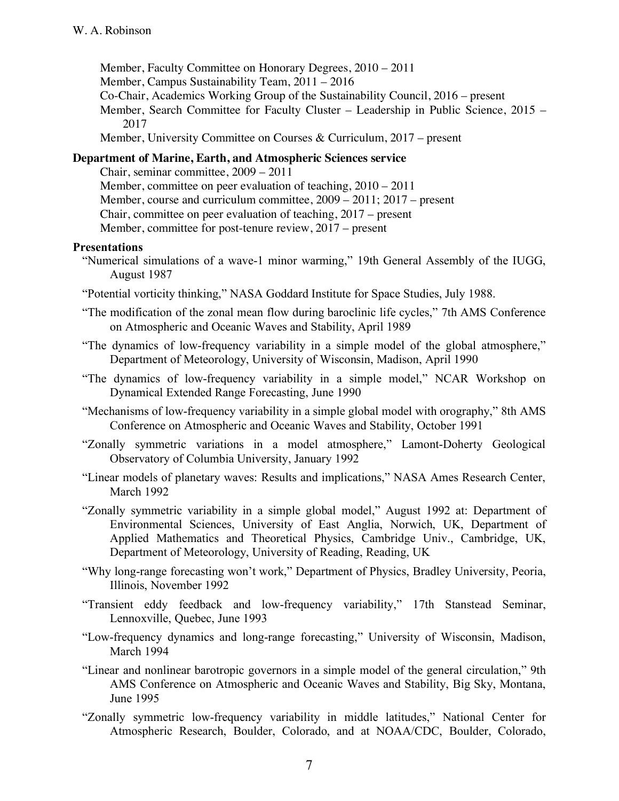Member, Faculty Committee on Honorary Degrees, 2010 – 2011

- Member, Campus Sustainability Team, 2011 2016
- Co-Chair, Academics Working Group of the Sustainability Council, 2016 present
- Member, Search Committee for Faculty Cluster Leadership in Public Science, 2015 2017
- Member, University Committee on Courses & Curriculum, 2017 present

# **Department of Marine, Earth, and Atmospheric Sciences service**

Chair, seminar committee, 2009 – 2011 Member, committee on peer evaluation of teaching, 2010 – 2011 Member, course and curriculum committee, 2009 – 2011; 2017 – present Chair, committee on peer evaluation of teaching, 2017 – present Member, committee for post-tenure review, 2017 – present

# **Presentations**

- "Numerical simulations of a wave-1 minor warming," 19th General Assembly of the IUGG, August 1987
- "Potential vorticity thinking," NASA Goddard Institute for Space Studies, July 1988.
- "The modification of the zonal mean flow during baroclinic life cycles," 7th AMS Conference on Atmospheric and Oceanic Waves and Stability, April 1989
- "The dynamics of low-frequency variability in a simple model of the global atmosphere," Department of Meteorology, University of Wisconsin, Madison, April 1990
- "The dynamics of low-frequency variability in a simple model," NCAR Workshop on Dynamical Extended Range Forecasting, June 1990
- "Mechanisms of low-frequency variability in a simple global model with orography," 8th AMS Conference on Atmospheric and Oceanic Waves and Stability, October 1991
- "Zonally symmetric variations in a model atmosphere," Lamont-Doherty Geological Observatory of Columbia University, January 1992
- "Linear models of planetary waves: Results and implications," NASA Ames Research Center, March 1992
- "Zonally symmetric variability in a simple global model," August 1992 at: Department of Environmental Sciences, University of East Anglia, Norwich, UK, Department of Applied Mathematics and Theoretical Physics, Cambridge Univ., Cambridge, UK, Department of Meteorology, University of Reading, Reading, UK
- "Why long-range forecasting won't work," Department of Physics, Bradley University, Peoria, Illinois, November 1992
- "Transient eddy feedback and low-frequency variability," 17th Stanstead Seminar, Lennoxville, Quebec, June 1993
- "Low-frequency dynamics and long-range forecasting," University of Wisconsin, Madison, March 1994
- "Linear and nonlinear barotropic governors in a simple model of the general circulation," 9th AMS Conference on Atmospheric and Oceanic Waves and Stability, Big Sky, Montana, June 1995
- "Zonally symmetric low-frequency variability in middle latitudes," National Center for Atmospheric Research, Boulder, Colorado, and at NOAA/CDC, Boulder, Colorado,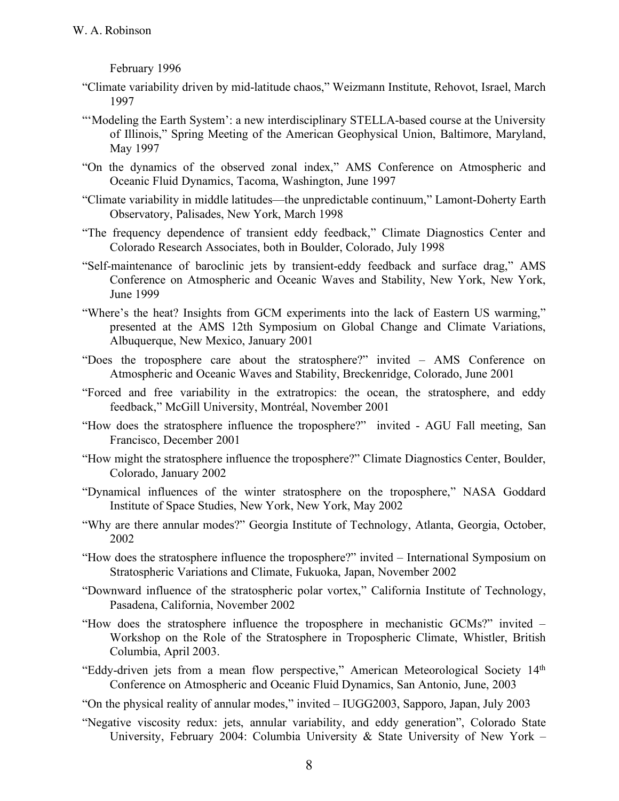February 1996

- "Climate variability driven by mid-latitude chaos," Weizmann Institute, Rehovot, Israel, March 1997
- "'Modeling the Earth System': a new interdisciplinary STELLA-based course at the University of Illinois," Spring Meeting of the American Geophysical Union, Baltimore, Maryland, May 1997
- "On the dynamics of the observed zonal index," AMS Conference on Atmospheric and Oceanic Fluid Dynamics, Tacoma, Washington, June 1997
- "Climate variability in middle latitudes—the unpredictable continuum," Lamont-Doherty Earth Observatory, Palisades, New York, March 1998
- "The frequency dependence of transient eddy feedback," Climate Diagnostics Center and Colorado Research Associates, both in Boulder, Colorado, July 1998
- "Self-maintenance of baroclinic jets by transient-eddy feedback and surface drag," AMS Conference on Atmospheric and Oceanic Waves and Stability, New York, New York, June 1999
- "Where's the heat? Insights from GCM experiments into the lack of Eastern US warming," presented at the AMS 12th Symposium on Global Change and Climate Variations, Albuquerque, New Mexico, January 2001
- "Does the troposphere care about the stratosphere?" invited AMS Conference on Atmospheric and Oceanic Waves and Stability, Breckenridge, Colorado, June 2001
- "Forced and free variability in the extratropics: the ocean, the stratosphere, and eddy feedback," McGill University, Montréal, November 2001
- "How does the stratosphere influence the troposphere?" invited AGU Fall meeting, San Francisco, December 2001
- "How might the stratosphere influence the troposphere?" Climate Diagnostics Center, Boulder, Colorado, January 2002
- "Dynamical influences of the winter stratosphere on the troposphere," NASA Goddard Institute of Space Studies, New York, New York, May 2002
- "Why are there annular modes?" Georgia Institute of Technology, Atlanta, Georgia, October, 2002
- "How does the stratosphere influence the troposphere?" invited International Symposium on Stratospheric Variations and Climate, Fukuoka, Japan, November 2002
- "Downward influence of the stratospheric polar vortex," California Institute of Technology, Pasadena, California, November 2002
- "How does the stratosphere influence the troposphere in mechanistic GCMs?" invited Workshop on the Role of the Stratosphere in Tropospheric Climate, Whistler, British Columbia, April 2003.
- "Eddy-driven jets from a mean flow perspective," American Meteorological Society 14th Conference on Atmospheric and Oceanic Fluid Dynamics, San Antonio, June, 2003
- "On the physical reality of annular modes," invited IUGG2003, Sapporo, Japan, July 2003
- "Negative viscosity redux: jets, annular variability, and eddy generation", Colorado State University, February 2004: Columbia University & State University of New York –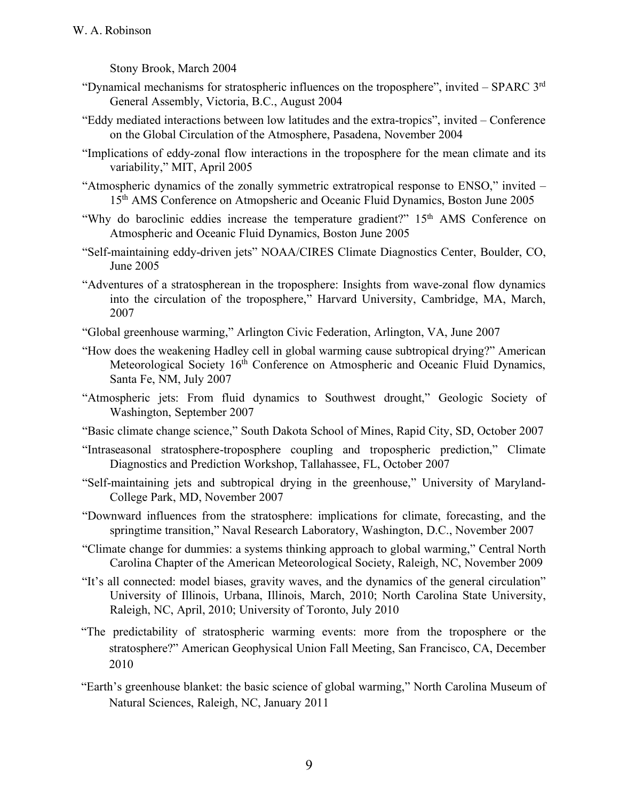Stony Brook, March 2004

- "Dynamical mechanisms for stratospheric influences on the troposphere", invited SPARC 3rd General Assembly, Victoria, B.C., August 2004
- "Eddy mediated interactions between low latitudes and the extra-tropics", invited Conference on the Global Circulation of the Atmosphere, Pasadena, November 2004
- "Implications of eddy-zonal flow interactions in the troposphere for the mean climate and its variability," MIT, April 2005
- "Atmospheric dynamics of the zonally symmetric extratropical response to ENSO," invited 15<sup>th</sup> AMS Conference on Atmopsheric and Oceanic Fluid Dynamics, Boston June 2005
- "Why do baroclinic eddies increase the temperature gradient?" 15<sup>th</sup> AMS Conference on Atmospheric and Oceanic Fluid Dynamics, Boston June 2005
- "Self-maintaining eddy-driven jets" NOAA/CIRES Climate Diagnostics Center, Boulder, CO, June 2005
- "Adventures of a stratospherean in the troposphere: Insights from wave-zonal flow dynamics into the circulation of the troposphere," Harvard University, Cambridge, MA, March, 2007
- "Global greenhouse warming," Arlington Civic Federation, Arlington, VA, June 2007
- "How does the weakening Hadley cell in global warming cause subtropical drying?" American Meteorological Society 16<sup>th</sup> Conference on Atmospheric and Oceanic Fluid Dynamics, Santa Fe, NM, July 2007
- "Atmospheric jets: From fluid dynamics to Southwest drought," Geologic Society of Washington, September 2007
- "Basic climate change science," South Dakota School of Mines, Rapid City, SD, October 2007
- "Intraseasonal stratosphere-troposphere coupling and tropospheric prediction," Climate Diagnostics and Prediction Workshop, Tallahassee, FL, October 2007
- "Self-maintaining jets and subtropical drying in the greenhouse," University of Maryland-College Park, MD, November 2007
- "Downward influences from the stratosphere: implications for climate, forecasting, and the springtime transition," Naval Research Laboratory, Washington, D.C., November 2007
- "Climate change for dummies: a systems thinking approach to global warming," Central North Carolina Chapter of the American Meteorological Society, Raleigh, NC, November 2009
- "It's all connected: model biases, gravity waves, and the dynamics of the general circulation" University of Illinois, Urbana, Illinois, March, 2010; North Carolina State University, Raleigh, NC, April, 2010; University of Toronto, July 2010
- "The predictability of stratospheric warming events: more from the troposphere or the stratosphere?" American Geophysical Union Fall Meeting, San Francisco, CA, December 2010
- "Earth's greenhouse blanket: the basic science of global warming," North Carolina Museum of Natural Sciences, Raleigh, NC, January 2011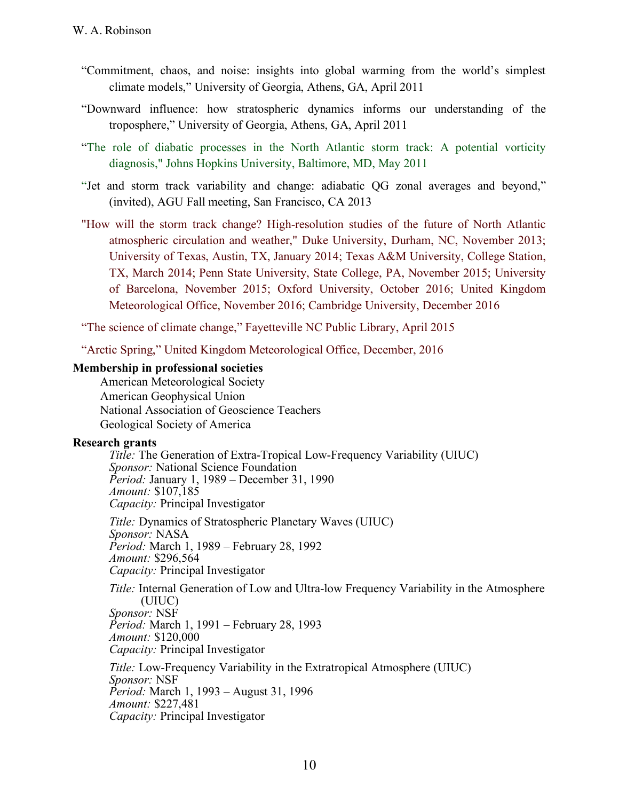- "Commitment, chaos, and noise: insights into global warming from the world's simplest climate models," University of Georgia, Athens, GA, April 2011
- "Downward influence: how stratospheric dynamics informs our understanding of the troposphere," University of Georgia, Athens, GA, April 2011
- "The role of diabatic processes in the North Atlantic storm track: A potential vorticity diagnosis," Johns Hopkins University, Baltimore, MD, May 2011
- "Jet and storm track variability and change: adiabatic QG zonal averages and beyond," (invited), AGU Fall meeting, San Francisco, CA 2013
- "How will the storm track change? High-resolution studies of the future of North Atlantic atmospheric circulation and weather," Duke University, Durham, NC, November 2013; University of Texas, Austin, TX, January 2014; Texas A&M University, College Station, TX, March 2014; Penn State University, State College, PA, November 2015; University of Barcelona, November 2015; Oxford University, October 2016; United Kingdom Meteorological Office, November 2016; Cambridge University, December 2016

"The science of climate change," Fayetteville NC Public Library, April 2015

"Arctic Spring," United Kingdom Meteorological Office, December, 2016

### **Membership in professional societies**

American Meteorological Society American Geophysical Union National Association of Geoscience Teachers Geological Society of America

### **Research grants**

*Title:* The Generation of Extra-Tropical Low-Frequency Variability (UIUC) *Sponsor:* National Science Foundation *Period:* January 1, 1989 – December 31, 1990 *Amount:* \$107,185 *Capacity:* Principal Investigator

*Title:* Dynamics of Stratospheric Planetary Waves (UIUC) *Sponsor:* NASA *Period:* March 1, 1989 – February 28, 1992 *Amount:* \$296,564 *Capacity:* Principal Investigator

*Title:* Internal Generation of Low and Ultra-low Frequency Variability in the Atmosphere (UIUC) *Sponsor:* NSF *Period:* March 1, 1991 – February 28, 1993 *Amount:* \$120,000 *Capacity:* Principal Investigator

*Title:* Low-Frequency Variability in the Extratropical Atmosphere (UIUC) *Sponsor:* NSF *Period:* March 1, 1993 – August 31, 1996 *Amount:* \$227,481 *Capacity:* Principal Investigator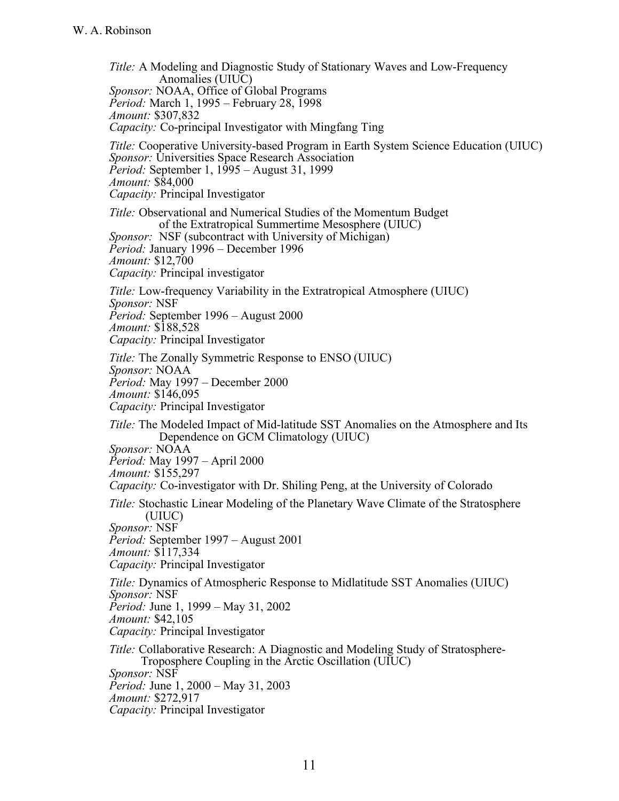*Title:* A Modeling and Diagnostic Study of Stationary Waves and Low-Frequency Anomalies (UIUC) *Sponsor:* NOAA, Office of Global Programs *Period:* March 1, 1995 – February 28, 1998 *Amount:* \$307,832 *Capacity:* Co-principal Investigator with Mingfang Ting *Title:* Cooperative University-based Program in Earth System Science Education (UIUC) *Sponsor:* Universities Space Research Association *Period:* September 1, 1995 – August 31, 1999 *Amount:* \$84,000 *Capacity:* Principal Investigator *Title:* Observational and Numerical Studies of the Momentum Budget of the Extratropical Summertime Mesosphere (UIUC) *Sponsor:* NSF (subcontract with University of Michigan) *Period:* January 1996 – December 1996 *Amount:* \$12,700 *Capacity:* Principal investigator *Title:* Low-frequency Variability in the Extratropical Atmosphere (UIUC) *Sponsor:* NSF *Period:* September 1996 – August 2000 *Amount:* \$188,528 *Capacity:* Principal Investigator *Title:* The Zonally Symmetric Response to ENSO (UIUC) *Sponsor:* NOAA *Period:* May 1997 – December 2000 *Amount:* \$146,095 *Capacity:* Principal Investigator *Title:* The Modeled Impact of Mid-latitude SST Anomalies on the Atmosphere and Its Dependence on GCM Climatology (UIUC) *Sponsor:* NOAA *Period:* May 1997 – April 2000 *Amount:* \$155,297 *Capacity:* Co-investigator with Dr. Shiling Peng, at the University of Colorado *Title:* Stochastic Linear Modeling of the Planetary Wave Climate of the Stratosphere (UIUC) *Sponsor:* NSF *Period:* September 1997 – August 2001 *Amount:* \$117,334 *Capacity:* Principal Investigator *Title:* Dynamics of Atmospheric Response to Midlatitude SST Anomalies (UIUC) *Sponsor:* NSF *Period:* June 1, 1999 – May 31, 2002 *Amount:* \$42,105 *Capacity:* Principal Investigator *Title:* Collaborative Research: A Diagnostic and Modeling Study of Stratosphere-Troposphere Coupling in the Arctic Oscillation (UIUC) *Sponsor:* NSF *Period:* June 1, 2000 – May 31, 2003 *Amount:* \$272,917 *Capacity:* Principal Investigator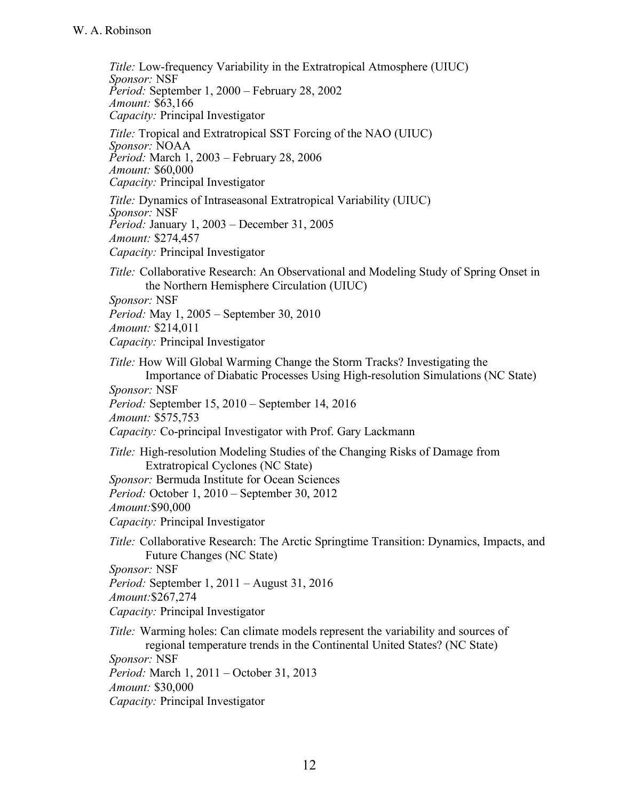*Title:* Low-frequency Variability in the Extratropical Atmosphere (UIUC) *Sponsor:* NSF *Period:* September 1, 2000 – February 28, 2002 *Amount:* \$63,166 *Capacity:* Principal Investigator *Title:* Tropical and Extratropical SST Forcing of the NAO (UIUC) *Sponsor:* NOAA *Period:* March 1, 2003 – February 28, 2006 *Amount:* \$60,000 *Capacity:* Principal Investigator *Title:* Dynamics of Intraseasonal Extratropical Variability (UIUC) *Sponsor:* NSF *Period:* January 1, 2003 – December 31, 2005 *Amount:* \$274,457 *Capacity:* Principal Investigator *Title:* Collaborative Research: An Observational and Modeling Study of Spring Onset in the Northern Hemisphere Circulation (UIUC) *Sponsor:* NSF *Period:* May 1, 2005 – September 30, 2010 *Amount:* \$214,011 *Capacity:* Principal Investigator *Title:* How Will Global Warming Change the Storm Tracks? Investigating the Importance of Diabatic Processes Using High-resolution Simulations (NC State) *Sponsor:* NSF *Period:* September 15, 2010 – September 14, 2016 *Amount:* \$575,753 *Capacity:* Co-principal Investigator with Prof. Gary Lackmann *Title:* High-resolution Modeling Studies of the Changing Risks of Damage from Extratropical Cyclones (NC State) *Sponsor:* Bermuda Institute for Ocean Sciences *Period:* October 1, 2010 – September 30, 2012 *Amount:*\$90,000 *Capacity:* Principal Investigator *Title:* Collaborative Research: The Arctic Springtime Transition: Dynamics, Impacts, and Future Changes (NC State) *Sponsor:* NSF *Period:* September 1, 2011 – August 31, 2016 *Amount:*\$267,274 *Capacity:* Principal Investigator *Title:* Warming holes: Can climate models represent the variability and sources of regional temperature trends in the Continental United States? (NC State) *Sponsor:* NSF *Period:* March 1, 2011 – October 31, 2013 *Amount:* \$30,000 *Capacity:* Principal Investigator